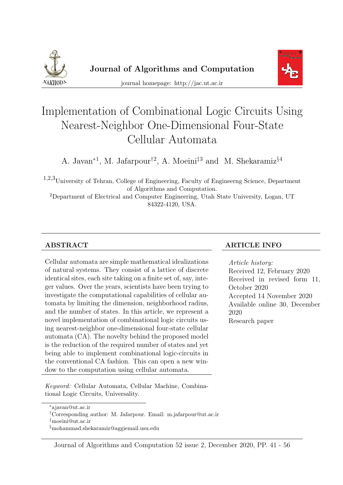



journal homepage: http://jac.ut.ac.ir

# Implementation of Combinational Logic Circuits Using Nearest-Neighbor One-Dimensional Four-State Cellular Automata

A. Javan<sup>\*1</sup>, M. Jafarpour<sup>†2</sup>, A. Moeini<sup>‡3</sup> and M. Shekaramiz<sup>§4</sup>

1,2,3University of Tehran, College of Engineering, Faculty of Engineerng Science, Department of Algorithms and Computation.

<sup>2</sup>Department of Electrical and Computer Engineering, Utah State University, Logan, UT 84322-4120, USA.

Cellular automata are simple mathematical idealizations of natural systems. They consist of a lattice of discrete identical sites, each site taking on a finite set of, say, integer values. Over the years, scientists have been trying to investigate the computational capabilities of cellular automata by limiting the dimension, neighborhood radius, and the number of states. In this article, we represent a novel implementation of combinational logic circuits using nearest-neighbor one-dimensional four-state cellular automata (CA). The novelty behind the proposed model is the reduction of the required number of states and yet being able to implement combinational logic-circuits in the conventional CA fashion. This can open a new window to the computation using cellular automata.

Keyword: Cellular Automata, Cellular Machine, Combinational Logic Circuits, Universality.

#### ABSTRACT ARTICLE INFO

Article history: Received 12, February 2020 Received in revised form 11, October 2020 Accepted 14 November 2020 Available online 30, December 2020 Research paper

<sup>∗</sup>ajavan@ut.ac.ir

<sup>†</sup>Corresponding author: M. Jafarpour. Email: m.jafarpour@ut.ac.ir

<sup>‡</sup>moeini@ut.ac.ir

<sup>§</sup>mohammad.shekaramiz@aggiemail.usu.edu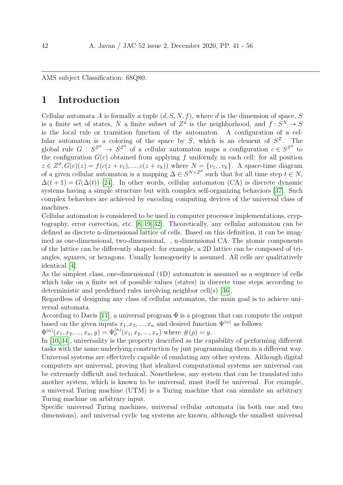AMS subject Classification: 68Q80.

# 1 Introduction

Cellular automata A is formally a tuple  $(d, S, N, f)$ , where d is the dimension of space, S is a finite set of states, N a finite subset of  $Z^d$  is the neighborhood, and  $f: S^N \to S$ is the local rule or transition function of the automaton. A configuration of a cellular automaton is a coloring of the space by  $S$ , which is an element of  $S^Z$ . The global rule  $G: S^{Z^d} \to S^{Z^d}$  of a cellular automaton maps a configuration  $c \in S^{Z^d}$  to the configuration  $G(c)$  obtained from applying f uniformly in each cell: for all position  $z \in Z^d$ ,  $G(c)(z) = f(c(z + v_1), ..., c(z + v_k))$  where  $N = \{v_1, v_k\}$ . A space-time diagram of a given cellular automaton is a mapping  $\Delta \in S^{N \times Z^d}$  such that for all time step  $t \in N$ ,  $\Delta(t+1) = G(\Delta(t))$  [\[24\]](#page-12-0). In other words, cellular automaton (CA) is discrete dynamic systems having a simple structure but with complex self-organizing behaviors [\[37\]](#page-13-0). Such complex behaviors are achieved by encoding computing devices of the universal class of machines.

Cellular automaton is considered to be used in computer processor implementations, cryptography, error correction, etc. [\[8,](#page-10-0) [19,](#page-11-0) [32\]](#page-13-1). Theoretically, any cellular automaton can be defined as discrete n-dimensional lattice of cells. Based on this definition, it can be imagined as one-dimensional, two-dimensional, , n-dimensional CA. The atomic components of the lattice can be differently shaped: for example, a 2D lattice can be composed of triangles, squares, or hexagons. Usually homogeneity is assumed. All cells are qualitatively identical [\[4\]](#page-10-1).

As the simplest class, one-dimensional (1D) automaton is assumed as a sequence of cells which take on a finite set of possible values (states) in discrete time steps according to deterministic and predefined rules involving neighbor cell(s) [\[36\]](#page-13-2).

Regardless of designing any class of cellular automaton, the main goal is to achieve universal automata.

According to Davis [\[11\]](#page-11-1), a universal program  $\Phi$  is a program that can compute the output based on the given inputs  $x_1, x_2, ..., x_n$  and desired function  $\Psi^{(n)}$  as follows:

 $\Phi^{(n)}(x_1, x_2, ..., x_n, y) = \Psi^{(n)}_{\rho}(x_1, x_2, ..., x_n)$  where  $\#(\rho) = y$ .

In [\[10,](#page-11-2)[34\]](#page-13-3), universality is the property described as the capability of performing different tasks with the same underlying construction by just programming them in a different way. Universal systems are effectively capable of emulating any other system. Although digital computers are universal, proving that idealized computational systems are universal can be extremely difficult and technical. Nonetheless, any system that can be translated into another system, which is known to be universal, must itself be universal. For example, a universal Turing machine (UTM) is a Turing machine that can simulate an arbitrary Turing machine on arbitrary input.

Specific universal Turing machines, universal cellular automata (in both one and two dimensions), and universal cyclic tag systems are known, although the smallest universal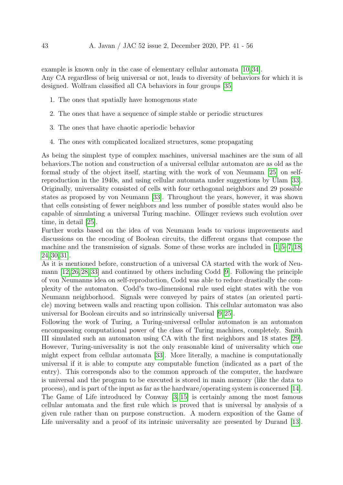example is known only in the case of elementary cellular automata [\[10,](#page-11-2) [34\]](#page-13-3). Any CA regardless of beig universal or not, leads to diversity of behaviors for which it is designed. Wolfram classified all CA behaviors in four groups [\[35\]](#page-13-4)

- 1. The ones that spatially have homogenous state
- 2. The ones that have a sequence of simple stable or periodic structures
- 3. The ones that have chaotic aperiodic behavior
- 4. The ones with complicated localized structures, some propagating

As being the simplest type of complex machines, universal machines are the sum of all behaviors.The notion and construction of a universal cellular automaton are as old as the formal study of the object itself, starting with the work of von Neumann [\[25\]](#page-12-1) on selfreproduction in the 1940s, and using cellular automata under suggestions by Ulam [\[33\]](#page-13-5). Originally, universality consisted of cells with four orthogonal neighbors and 29 possible states as proposed by von Neumann [\[33\]](#page-13-5). Throughout the years, however, it was shown that cells consisting of fewer neighbors and less number of possible states would also be capable of simulating a universal Turing machine. Ollinger reviews such evolution over time, in detail [\[25\]](#page-12-1).

Further works based on the idea of von Neumann leads to various improvements and discussions on the encoding of Boolean circuits, the different organs that compose the machine and the transmission of signals. Some of these works are included in [\[1,](#page-10-2) [5–](#page-10-3)[7,](#page-10-4) [18,](#page-11-3) [24,](#page-12-0) [30,](#page-12-2) [31\]](#page-12-3).

As it is mentioned before, construction of a universal CA started with the work of Neumann [\[12,](#page-11-4) [26,](#page-12-4) [28,](#page-12-5) [33\]](#page-13-5) and continued by others including Codd [\[9\]](#page-10-5). Following the principle of von Neumanns idea on self-reproduction, Codd was able to reduce drastically the complexity of the automaton. Codd's two-dimensional rule used eight states with the von Neumann neighborhood. Signals were conveyed by pairs of states (an oriented particle) moving between walls and reacting upon collision. This cellular automaton was also universal for Boolean circuits and so intrinsically universal [\[9,](#page-10-5) [25\]](#page-12-1).

Following the work of Turing, a Turing-universal cellular automaton is an automaton encompassing computational power of the class of Turing machines, completely. Smith III simulated such an automaton using CA with the first neighbors and 18 states [\[29\]](#page-12-6). However, Turing-universality is not the only reasonable kind of universality which one might expect from cellular automata [\[33\]](#page-13-5). More literally, a machine is computationally universal if it is able to compute any computable function (indicated as a part of the entry). This corresponds also to the common approach of the computer, the hardware is universal and the program to be executed is stored in main memory (like the data to process), and is part of the input as far as the hardware/operating system is concerned [\[14\]](#page-11-5). The Game of Life introduced by Conway [\[3,](#page-10-6) [15\]](#page-11-6) is certainly among the most famous cellular automata and the first rule which is proved that is universal by analysis of a given rule rather than on purpose construction. A modern exposition of the Game of Life universality and a proof of its intrinsic universality are presented by Durand [\[13\]](#page-11-7).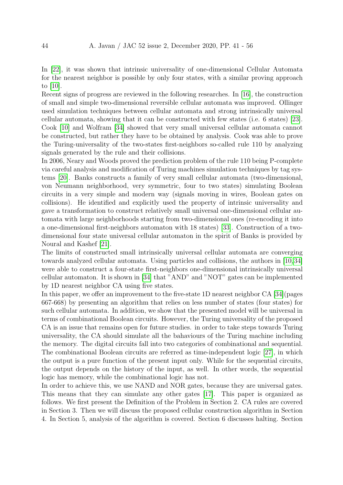In [\[22\]](#page-12-7), it was shown that intrinsic universality of one-dimensional Cellular Automata for the nearest neighbor is possible by only four states, with a similar proving approach to [\[10\]](#page-11-2).

Recent signs of progress are reviewed in the following researches. In [\[16\]](#page-11-8), the construction of small and simple two-dimensional reversible cellular automata was improved. Ollinger used simulation techniques between cellular automata and strong intrinsically universal cellular automata, showing that it can be constructed with few states (i.e. 6 states) [\[23\]](#page-12-8). Cook [\[10\]](#page-11-2) and Wolfram [\[34\]](#page-13-3) showed that very small universal cellular automata cannot be constructed, but rather they have to be obtained by analysis. Cook was able to prove the Turing-universality of the two-states first-neighbors so-called rule 110 by analyzing signals generated by the rule and their collisions.

In 2006, Neary and Woods proved the prediction problem of the rule 110 being P-complete via careful analysis and modification of Turing machines simulation techniques by tag systems [\[20\]](#page-11-9). Banks constructs a family of very small cellular automata (two-dimensional, von Neumann neighborhood, very symmetric, four to two states) simulating Boolean circuits in a very simple and modern way (signals moving in wires, Boolean gates on collisions). He identified and explicitly used the property of intrinsic universality and gave a transformation to construct relatively small universal one-dimensional cellular automata with large neighborhoods starting from two-dimensional ones (re-encoding it into a one-dimensional first-neighbors automaton with 18 states) [\[33\]](#page-13-5). Construction of a twodimensional four state universal cellular automaton in the spirit of Banks is provided by Noural and Kashef [\[21\]](#page-12-9).

The limits of constructed small intrinsically universal cellular automata are converging towards analyzed cellular automata. Using particles and collisions, the authors in [\[10,](#page-11-2)[34\]](#page-13-3) were able to construct a four-state first-neighbors one-dimensional intrinsically universal cellular automaton. It is shown in [\[34\]](#page-13-3) that "AND" and "NOT" gates can be implemented by 1D nearest neighbor CA using five states.

In this paper, we offer an improvement to the five-state 1D nearest neighbor CA [\[34\]](#page-13-3)(pages 667-668) by presenting an algorithm that relies on less number of states (four states) for such cellular automata. In addition, we show that the presented model will be universal in terms of combinational Boolean circuits. However, the Turing universality of the proposed CA is an issue that remains open for future studies. in order to take steps towards Turing universality, the CA should simulate all the bahaviours of the Turing machine including the memory. The digital circuits fall into two categories of combinational and sequential. The combinational Boolean circuits are referred as time-independent logic [\[27\]](#page-12-10), in which the output is a pure function of the present input only. While for the sequential circuits, the output depends on the history of the input, as well. In other words, the sequential logic has memory, while the combinational logic has not.

In order to achieve this, we use NAND and NOR gates, because they are universal gates. This means that they can simulate any other gates [\[17\]](#page-11-10). This paper is organized as follows. We first present the Definition of the Problem in Section 2. CA rules are covered in Section 3. Then we will discuss the proposed cellular construction algorithm in Section 4. In Section 5, analysis of the algorithm is covered. Section 6 discusses halting. Section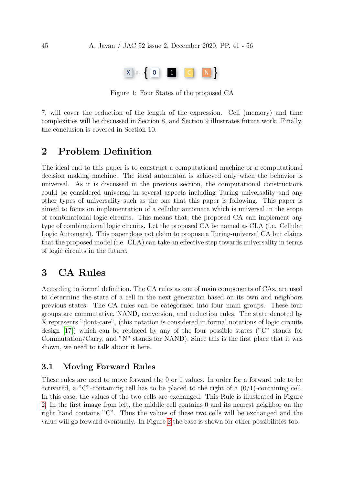

Figure 1: Four States of the proposed CA

7, will cover the reduction of the length of the expression. Cell (memory) and time complexities will be discussed in Section 8, and Section 9 illustrates future work. Finally, the conclusion is covered in Section 10.

# 2 Problem Definition

The ideal end to this paper is to construct a computational machine or a computational decision making machine. The ideal automaton is achieved only when the behavior is universal. As it is discussed in the previous section, the computational constructions could be considered universal in several aspects including Turing universality and any other types of universality such as the one that this paper is following. This paper is aimed to focus on implementation of a cellular automata which is universal in the scope of combinational logic circuits. This means that, the proposed CA can implement any type of combinational logic circuits. Let the proposed CA be named as CLA (i.e. Cellular Logic Automata). This paper does not claim to propose a Turing-universal CA but claims that the proposed model (i.e. CLA) can take an effective step towards universality in terms of logic circuits in the future.

# 3 CA Rules

According to formal definition, The CA rules as one of main components of CAs, are used to determine the state of a cell in the next generation based on its own and neighbors previous states. The CA rules can be categorized into four main groups. These four groups are commutative, NAND, conversion, and reduction rules. The state denoted by X represents "dont-care", (this notation is considered in formal notations of logic circuits design [\[17\]](#page-11-10)) which can be replaced by any of the four possible states ("C" stands for Commutation/Carry, and "N" stands for NAND). Since this is the first place that it was shown, we need to talk about it here.

#### 3.1 Moving Forward Rules

These rules are used to move forward the 0 or 1 values. In order for a forward rule to be activated, a "C"-containing cell has to be placed to the right of a  $(0/1)$ -containing cell. In this case, the values of the two cells are exchanged. This Rule is illustrated in Figure [2.](#page-5-0) In the first image from left, the middle cell contains 0 and its nearest neighbor on the right hand contains "C". Thus the values of these two cells will be exchanged and the value will go forward eventually. In Figure [2](#page-5-0) the case is shown for other possibilities too.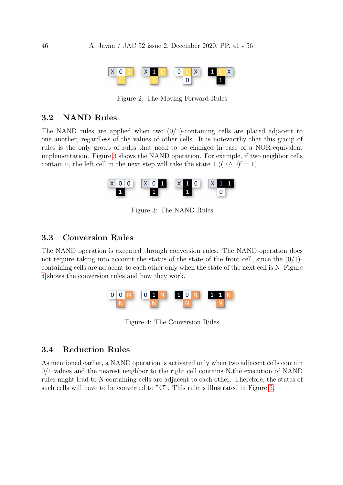

<span id="page-5-0"></span>Figure 2: The Moving Forward Rules

#### 3.2 NAND Rules

The NAND rules are applied when two  $(0/1)$ -containing cells are placed adjacent to one another, regardless of the values of other cells. It is noteworthy that this group of rules is the only group of rules that need to be changed in case of a NOR-equivalent implementation. Figure [3](#page-5-1) shows the NAND operation. For example, if two neighbor cells contain 0, the left cell in the next step will take the state 1  $((0 \wedge 0)' = 1)$ .



<span id="page-5-1"></span>Figure 3: The NAND Rules

#### 3.3 Conversion Rules

The NAND operation is executed through conversion rules. The NAND operation does not require taking into account the status of the state of the front cell, since the  $(0/1)$ containing cells are adjacent to each other only when the state of the next cell is N. Figure [4](#page-5-2) shows the conversion rules and how they work.



<span id="page-5-2"></span>Figure 4: The Conversion Rules

#### 3.4 Reduction Rules

As mentioned earlier, a NAND operation is activated only when two adjacent cells contain 0/1 values and the nearest neighbor to the right cell contains N.the execution of NAND rules might lead to N-containing cells are adjacent to each other. Therefore, the states of such cells will have to be converted to "C". This rule is illustrated in Figure [5.](#page-6-0)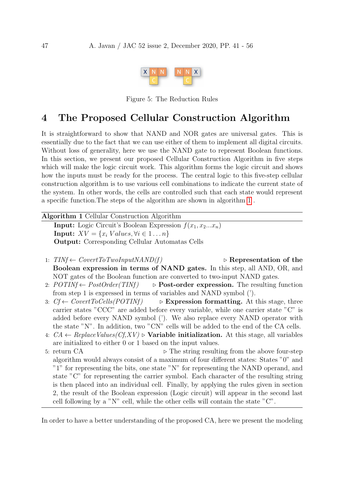<span id="page-6-0"></span>

Figure 5: The Reduction Rules

# 4 The Proposed Cellular Construction Algorithm

It is straightforward to show that NAND and NOR gates are universal gates. This is essentially due to the fact that we can use either of them to implement all digital circuits. Without loss of generality, here we use the NAND gate to represent Boolean functions. In this section, we present our proposed Cellular Construction Algorithm in five steps which will make the logic circuit work. This algorithm forms the logic circuit and shows how the inputs must be ready for the process. The central logic to this five-step cellular construction algorithm is to use various cell combinations to indicate the current state of the system. In other words, the cells are controlled such that each state would represent a specific function.The steps of the algorithm are shown in algorithm [1](#page-6-1) .

<span id="page-6-1"></span>

| <b>Algorithm 1 Cellular Construction Algorithm</b>                        |                                        |
|---------------------------------------------------------------------------|----------------------------------------|
| <b>Input:</b> Logic Circuit's Boolean Expression $f(x_1, x_2x_n)$         |                                        |
| <b>Input:</b> $XY = \{x_i \; Values, \forall i \in 1 \ldots n\}$          |                                        |
| <b>Output:</b> Corresponding Cellular Automatas Cells                     |                                        |
| 1: $TINf \leftarrow CoverToTwoInputNAND(f)$                               | $\triangleright$ Representation of the |
| Boolean expression in terms of NAND gates. In this step, all AND, OR, and |                                        |
| NOT gates of the Boolean function are converted to two-input NAND gates.  |                                        |

- 2:  $POTINf \leftarrow PostOrder(TINf)$   $\rightarrow$  **Post-order expression.** The resulting function from step 1 is expressed in terms of variables and NAND symbol (').
- 3:  $Cf \leftarrow \text{CoverToCells}(\text{POTIMf})$   $\triangleright$  Expression formatting. At this stage, three carrier states "CCC" are added before every variable, while one carrier state "C" is added before every NAND symbol ('). We also replace every NAND operator with the state "N". In addition, two "CN" cells will be added to the end of the CA cells.
- 4:  $CA \leftarrow ReplaceValues(Cf, XV) \triangleright$  Variable initialization. At this stage, all variables are initialized to either 0 or 1 based on the input values.
- 5: return  $CA$   $\triangleright$  The string resulting from the above four-step algorithm would always consist of a maximum of four different states: States "0" and "1" for representing the bits, one state "N" for representing the NAND operand, and state "C" for representing the carrier symbol. Each character of the resulting string is then placed into an individual cell. Finally, by applying the rules given in section 2, the result of the Boolean expression (Logic circuit) will appear in the second last cell following by a "N" cell, while the other cells will contain the state " $C$ ".

In order to have a better understanding of the proposed CA, here we present the modeling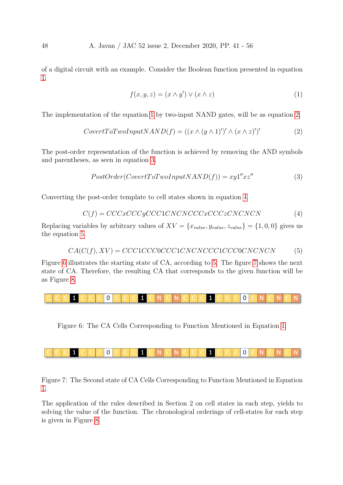<span id="page-7-0"></span>of a digital circuit with an example. Consider the Boolean function presented in equation [1.](#page-7-0)

$$
f(x, y, z) = (x \wedge y') \vee (x \wedge z) \tag{1}
$$

<span id="page-7-1"></span>The implementation of the equation [1](#page-7-0) by two-input NAND gates, will be as equation [2.](#page-7-1)

$$
Cover to TwoInput NAND(f) = ((x \land (y \land 1)')' \land (x \land z)')'
$$
\n(2)

<span id="page-7-2"></span>The post-order representation of the function is achieved by removing the AND symbols and parentheses, as seen in equation [3.](#page-7-2)

$$
PostOrder(CovertToTwoInputNAND(f)) = xy1"xz"
$$
\n(3)

<span id="page-7-3"></span>Converting the post-order template to cell states shown in equation [4.](#page-7-3)

$$
C(f) = CCCxCCCyCCC1CNCNCCCcCCCzCNCNCN
$$
\n
$$
(4)
$$

<span id="page-7-4"></span>Replacing variables by arbitrary values of  $XV = \{x_{value}, y_{value}, z_{value}\} = \{1, 0, 0\}$  gives us the equation [5.](#page-7-4)

$$
CA(C(f), XV) = CCC1CCCCCCICNCNCCC1CCCCCC0CNCNCN \tag{5}
$$

Figure [6](#page-7-5) illustrates the starting state of CA, according to [5.](#page-7-4) The figure [7](#page-7-6) shows the next state of CA. Therefore, the resulting CA that corresponds to the given function will be as Figure [8.](#page-14-0)

$$
C
$$

<span id="page-7-6"></span><span id="page-7-5"></span>Figure 6: The CA Cells Corresponding to Function Mentioned in Equation [1.](#page-7-0)

Figure 7: The Second state of CA Cells Corresponding to Function Mentioned in Equation [1.](#page-7-0)

The application of the rules described in Section 2 on cell states in each step, yields to solving the value of the function. The chronological orderings of cell-states for each step is given in Figure [8.](#page-14-0)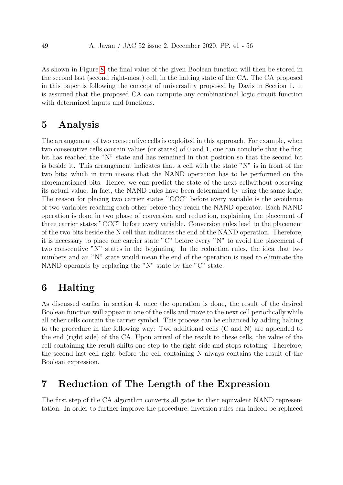As shown in Figure [8,](#page-14-0) the final value of the given Boolean function will then be stored in the second last (second right-most) cell, in the halting state of the CA. The CA proposed in this paper is following the concept of universality proposed by Davis in Section 1. it is assumed that the proposed CA can compute any combinational logic circuit function with determined inputs and functions.

# 5 Analysis

The arrangement of two consecutive cells is exploited in this approach. For example, when two consecutive cells contain values (or states) of 0 and 1, one can conclude that the first bit has reached the "N" state and has remained in that position so that the second bit is beside it. This arrangement indicates that a cell with the state "N" is in front of the two bits; which in turn means that the NAND operation has to be performed on the aforementioned bits. Hence, we can predict the state of the next cellwithout observing its actual value. In fact, the NAND rules have been determined by using the same logic. The reason for placing two carrier states "CCC" before every variable is the avoidance of two variables reaching each other before they reach the NAND operator. Each NAND operation is done in two phase of conversion and reduction, explaining the placement of three carrier states "CCC" before every variable. Conversion rules lead to the placement of the two bits beside the N cell that indicates the end of the NAND operation. Therefore, it is necessary to place one carrier state "C" before every "N" to avoid the placement of two consecutive "N" states in the beginning. In the reduction rules, the idea that two numbers and an "N" state would mean the end of the operation is used to eliminate the NAND operands by replacing the "N" state by the "C" state.

# 6 Halting

As discussed earlier in section 4, once the operation is done, the result of the desired Boolean function will appear in one of the cells and move to the next cell periodically while all other cells contain the carrier symbol. This process can be enhanced by adding halting to the procedure in the following way: Two additional cells (C and N) are appended to the end (right side) of the CA. Upon arrival of the result to these cells, the value of the cell containing the result shifts one step to the right side and stops rotating. Therefore, the second last cell right before the cell containing N always contains the result of the Boolean expression.

# 7 Reduction of The Length of the Expression

The first step of the CA algorithm converts all gates to their equivalent NAND representation. In order to further improve the procedure, inversion rules can indeed be replaced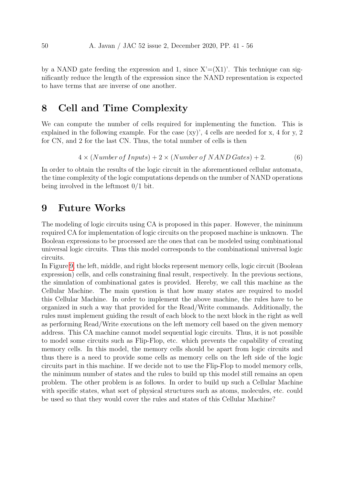by a NAND gate feeding the expression and 1, since  $X = (X1)$ . This technique can significantly reduce the length of the expression since the NAND representation is expected to have terms that are inverse of one another.

# 8 Cell and Time Complexity

We can compute the number of cells required for implementing the function. This is explained in the following example. For the case (xy)', 4 cells are needed for x, 4 for y, 2 for CN, and 2 for the last CN. Thus, the total number of cells is then

$$
4 \times (Number of 1nputs) + 2 \times (Number of NAND Gates) + 2.
$$
 (6)

In order to obtain the results of the logic circuit in the aforementioned cellular automata, the time complexity of the logic computations depends on the number of NAND operations being involved in the leftmost 0/1 bit.

### 9 Future Works

The modeling of logic circuits using CA is proposed in this paper. However, the minimum required CA for implementation of logic circuits on the proposed machine is unknown. The Boolean expressions to be processed are the ones that can be modeled using combinational universal logic circuits. Thus this model corresponds to the combinational universal logic circuits.

In Figure [9,](#page-15-0) the left, middle, and right blocks represent memory cells, logic circuit (Boolean expression) cells, and cells constraining final result, respectively. In the previous sections, the simulation of combinational gates is provided. Hereby, we call this machine as the Cellular Machine. The main question is that how many states are required to model this Cellular Machine. In order to implement the above machine, the rules have to be organized in such a way that provided for the Read/Write commands. Additionally, the rules must implement guiding the result of each block to the next block in the right as well as performing Read/Write executions on the left memory cell based on the given memory address. This CA machine cannot model sequential logic circuits. Thus, it is not possible to model some circuits such as Flip-Flop, etc. which prevents the capability of creating memory cells. In this model, the memory cells should be apart from logic circuits and thus there is a need to provide some cells as memory cells on the left side of the logic circuits part in this machine. If we decide not to use the Flip-Flop to model memory cells, the minimum number of states and the rules to build up this model still remains an open problem. The other problem is as follows. In order to build up such a Cellular Machine with specific states, what sort of physical structures such as atoms, molecules, etc. could be used so that they would cover the rules and states of this Cellular Machine?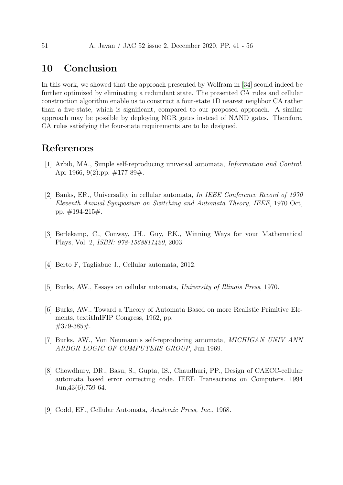# 10 Conclusion

In this work, we showed that the approach presented by Wolfram in [\[34\]](#page-13-3) scould indeed be further optimized by eliminating a redundant state. The presented CA rules and cellular construction algorithm enable us to construct a four-state 1D nearest neighbor CA rather than a five-state, which is significant, compared to our proposed approach. A similar approach may be possible by deploying NOR gates instead of NAND gates. Therefore, CA rules satisfying the four-state requirements are to be designed.

# References

- <span id="page-10-2"></span>[1] Arbib, MA., Simple self-reproducing universal automata, Information and Control. Apr 1966, 9(2):pp.  $\#177-89\#$ .
- [2] Banks, ER., Universality in cellular automata, In IEEE Conference Record of 1970 Eleventh Annual Symposium on Switching and Automata Theory, IEEE, 1970 Oct, pp. #194-215#.
- <span id="page-10-6"></span>[3] Berlekamp, C., Conway, JH., Guy, RK., Winning Ways for your Mathematical Plays, Vol. 2, ISBN: 978-1568811420, 2003.
- <span id="page-10-1"></span>[4] Berto F, Tagliabue J., Cellular automata, 2012.
- <span id="page-10-3"></span>[5] Burks, AW., Essays on cellular automata, University of Illinois Press, 1970.
- [6] Burks, AW., Toward a Theory of Automata Based on more Realistic Primitive Elements, textitInIFIP Congress, 1962, pp. #379-385#.
- <span id="page-10-4"></span>[7] Burks, AW., Von Neumann's self-reproducing automata, MICHIGAN UNIV ANN ARBOR LOGIC OF COMPUTERS GROUP, Jun 1969.
- <span id="page-10-0"></span>[8] Chowdhury, DR., Basu, S., Gupta, IS., Chaudhuri, PP., Design of CAECC-cellular automata based error correcting code. IEEE Transactions on Computers. 1994 Jun;43(6):759-64.
- <span id="page-10-5"></span>[9] Codd, EF., Cellular Automata, Academic Press, Inc., 1968.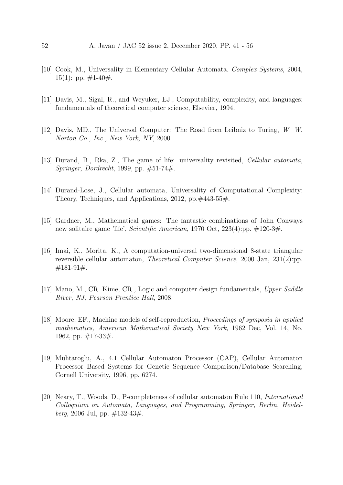- <span id="page-11-2"></span>[10] Cook, M., Universality in Elementary Cellular Automata. Complex Systems, 2004, 15(1): pp.  $\#1-40\#$ .
- <span id="page-11-1"></span>[11] Davis, M., Sigal, R., and Weyuker, EJ., Computability, complexity, and languages: fundamentals of theoretical computer science, Elsevier, 1994.
- <span id="page-11-4"></span>[12] Davis, MD., The Universal Computer: The Road from Leibniz to Turing, W. W. Norton Co., Inc., New York, NY, 2000.
- <span id="page-11-7"></span>[13] Durand, B., Rka, Z., The game of life: universality revisited, *Cellular automata*, Springer, Dordrecht, 1999, pp. #51-74#.
- <span id="page-11-5"></span>[14] Durand-Lose, J., Cellular automata, Universality of Computational Complexity: Theory, Techniques, and Applications, 2012, pp. $\#443-55\#$ .
- <span id="page-11-6"></span>[15] Gardner, M., Mathematical games: The fantastic combinations of John Conways new solitaire game 'life', Scientific American, 1970 Oct, 223(4):pp. #120-3#.
- <span id="page-11-8"></span>[16] Imai, K., Morita, K., A computation-universal two-dimensional 8-state triangular reversible cellular automaton, Theoretical Computer Science, 2000 Jan, 231(2):pp. #181-91#.
- <span id="page-11-10"></span>[17] Mano, M., CR. Kime, CR., Logic and computer design fundamentals, Upper Saddle River, NJ, Pearson Prentice Hall, 2008.
- <span id="page-11-3"></span>[18] Moore, EF., Machine models of self-reproduction, Proceedings of symposia in applied mathematics, American Mathematical Society New York, 1962 Dec, Vol. 14, No. 1962, pp. #17-33#.
- <span id="page-11-0"></span>[19] Muhtaroglu, A., 4.1 Cellular Automaton Processor (CAP), Cellular Automaton Processor Based Systems for Genetic Sequence Comparison/Database Searching, Cornell University, 1996, pp. 6274.
- <span id="page-11-9"></span>[20] Neary, T., Woods, D., P-completeness of cellular automaton Rule 110, International Colloquium on Automata, Languages, and Programming, Springer, Berlin, Heidelberg, 2006 Jul, pp.  $\#132-43\#$ .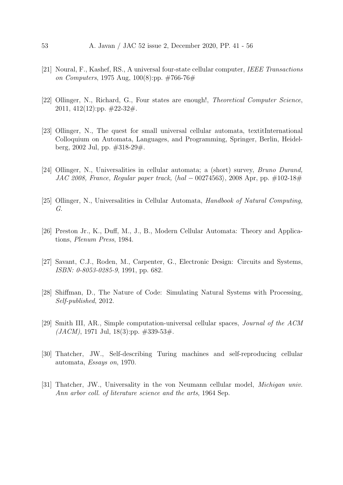- <span id="page-12-9"></span>[21] Noural, F., Kashef, RS., A universal four-state cellular computer, IEEE Transactions on Computers, 1975 Aug, 100(8):pp.  $\#766-76\#$
- <span id="page-12-7"></span>[22] Ollinger, N., Richard, G., Four states are enough!, Theoretical Computer Science, 2011, 412(12):pp.  $\#22-32\#$ .
- <span id="page-12-8"></span>[23] Ollinger, N., The quest for small universal cellular automata, textitInternational Colloquium on Automata, Languages, and Programming, Springer, Berlin, Heidelberg, 2002 Jul, pp. #318-29#.
- <span id="page-12-0"></span>[24] Ollinger, N., Universalities in cellular automata; a (short) survey, Bruno Durand, JAC 2008, France, Regular paper track,  $\langle \text{hal} - 00274563 \rangle$ , 2008 Apr, pp. #102-18#
- <span id="page-12-1"></span>[25] Ollinger, N., Universalities in Cellular Automata, Handbook of Natural Computing, G.
- <span id="page-12-4"></span>[26] Preston Jr., K., Duff, M., J., B., Modern Cellular Automata: Theory and Applications, Plenum Press, 1984.
- <span id="page-12-10"></span>[27] Savant, C.J., Roden, M., Carpenter, G., Electronic Design: Circuits and Systems, ISBN: 0-8053-0285-9, 1991, pp. 682.
- <span id="page-12-5"></span>[28] Shiffman, D., The Nature of Code: Simulating Natural Systems with Processing, Self-published, 2012.
- <span id="page-12-6"></span>[29] Smith III, AR., Simple computation-universal cellular spaces, Journal of the ACM  $(JACM)$ , 1971 Jul, 18(3):pp.  $\#339-53\#$ .
- <span id="page-12-2"></span>[30] Thatcher, JW., Self-describing Turing machines and self-reproducing cellular automata, Essays on, 1970.
- <span id="page-12-3"></span>[31] Thatcher, JW., Universality in the von Neumann cellular model, Michigan univ. Ann arbor coll. of literature science and the arts, 1964 Sep.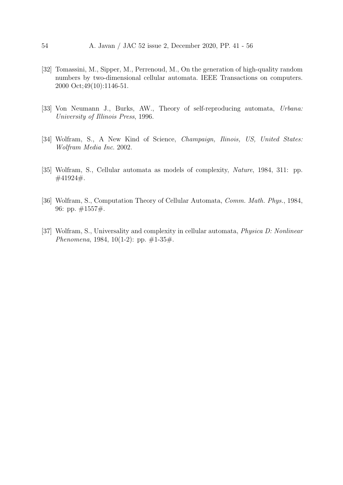- <span id="page-13-1"></span>[32] Tomassini, M., Sipper, M., Perrenoud, M., On the generation of high-quality random numbers by two-dimensional cellular automata. IEEE Transactions on computers. 2000 Oct;49(10):1146-51.
- <span id="page-13-5"></span>[33] Von Neumann J., Burks, AW., Theory of self-reproducing automata, Urbana: University of Illinois Press, 1996.
- <span id="page-13-3"></span>[34] Wolfram, S., A New Kind of Science, Champaign, Ilinois, US, United States: Wolfram Media Inc. 2002.
- <span id="page-13-4"></span>[35] Wolfram, S., Cellular automata as models of complexity, Nature, 1984, 311: pp. #41924#.
- <span id="page-13-2"></span>[36] Wolfram, S., Computation Theory of Cellular Automata, Comm. Math. Phys., 1984, 96: pp. #1557#.
- <span id="page-13-0"></span>[37] Wolfram, S., Universality and complexity in cellular automata, *Physica D: Nonlinear* Phenomena, 1984, 10(1-2): pp.  $\#1-35\#$ .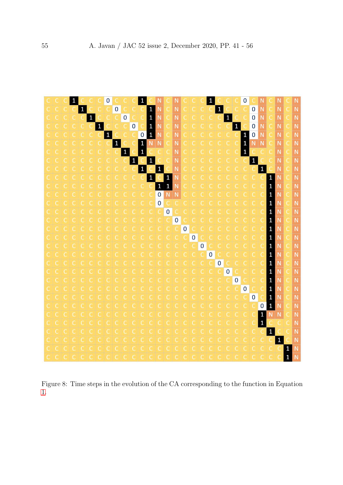<span id="page-14-0"></span>

Figure 8: Time steps in the evolution of the CA corresponding to the function in Equation [1.](#page-7-0)